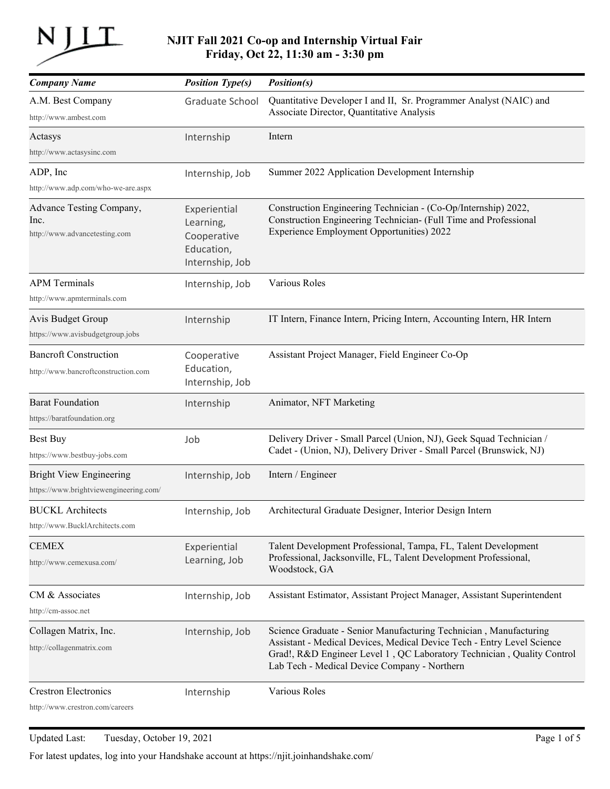

## **NJIT Fall 2021 Co-op and Internship Virtual Fair Friday, Oct 22, 11:30 am - 3:30 pm**

| <b>Company Name</b>                                                      | <b>Position Type(s)</b>                                                   | <i>Position(s)</i>                                                                                                                                                                                                                                                    |
|--------------------------------------------------------------------------|---------------------------------------------------------------------------|-----------------------------------------------------------------------------------------------------------------------------------------------------------------------------------------------------------------------------------------------------------------------|
| A.M. Best Company<br>http://www.ambest.com                               | <b>Graduate School</b>                                                    | Quantitative Developer I and II, Sr. Programmer Analyst (NAIC) and<br>Associate Director, Quantitative Analysis                                                                                                                                                       |
| Actasys<br>http://www.actasysinc.com                                     | Internship                                                                | Intern                                                                                                                                                                                                                                                                |
| ADP, Inc<br>http://www.adp.com/who-we-are.aspx                           | Internship, Job                                                           | Summer 2022 Application Development Internship                                                                                                                                                                                                                        |
| Advance Testing Company,<br>Inc.<br>http://www.advancetesting.com        | Experiential<br>Learning,<br>Cooperative<br>Education,<br>Internship, Job | Construction Engineering Technician - (Co-Op/Internship) 2022,<br>Construction Engineering Technician- (Full Time and Professional<br><b>Experience Employment Opportunities) 2022</b>                                                                                |
| <b>APM</b> Terminals<br>http://www.apmterminals.com                      | Internship, Job                                                           | Various Roles                                                                                                                                                                                                                                                         |
| Avis Budget Group<br>https://www.avisbudgetgroup.jobs                    | Internship                                                                | IT Intern, Finance Intern, Pricing Intern, Accounting Intern, HR Intern                                                                                                                                                                                               |
| <b>Bancroft Construction</b><br>http://www.bancroftconstruction.com      | Cooperative<br>Education,<br>Internship, Job                              | Assistant Project Manager, Field Engineer Co-Op                                                                                                                                                                                                                       |
| <b>Barat Foundation</b><br>https://baratfoundation.org                   | Internship                                                                | Animator, NFT Marketing                                                                                                                                                                                                                                               |
| <b>Best Buy</b><br>https://www.bestbuy-jobs.com                          | Job                                                                       | Delivery Driver - Small Parcel (Union, NJ), Geek Squad Technician /<br>Cadet - (Union, NJ), Delivery Driver - Small Parcel (Brunswick, NJ)                                                                                                                            |
| <b>Bright View Engineering</b><br>https://www.brightviewengineering.com/ | Internship, Job                                                           | Intern / Engineer                                                                                                                                                                                                                                                     |
| <b>BUCKL</b> Architects<br>http://www.BucklArchitects.com                | Internship, Job                                                           | Architectural Graduate Designer, Interior Design Intern                                                                                                                                                                                                               |
| <b>CEMEX</b><br>http://www.cemexusa.com/                                 | Experiential<br>Learning, Job                                             | Talent Development Professional, Tampa, FL, Talent Development<br>Professional, Jacksonville, FL, Talent Development Professional,<br>Woodstock, GA                                                                                                                   |
| CM & Associates<br>http://cm-assoc.net                                   | Internship, Job                                                           | Assistant Estimator, Assistant Project Manager, Assistant Superintendent                                                                                                                                                                                              |
| Collagen Matrix, Inc.<br>http://collagenmatrix.com                       | Internship, Job                                                           | Science Graduate - Senior Manufacturing Technician, Manufacturing<br>Assistant - Medical Devices, Medical Device Tech - Entry Level Science<br>Grad!, R&D Engineer Level 1, QC Laboratory Technician, Quality Control<br>Lab Tech - Medical Device Company - Northern |
| <b>Crestron Electronics</b><br>http://www.crestron.com/careers           | Internship                                                                | Various Roles                                                                                                                                                                                                                                                         |

Updated Last: Tuesday, October 19, 2021 Page 1 of 5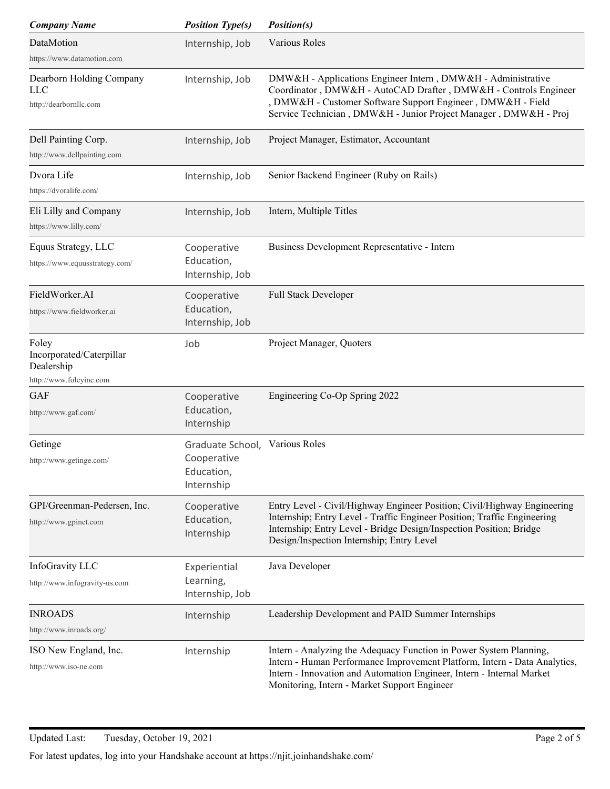| <b>Company Name</b>                                              | <b>Position Type(s)</b>                                     | <i>Position(s)</i>                                                                                                                                                                                                                                                       |
|------------------------------------------------------------------|-------------------------------------------------------------|--------------------------------------------------------------------------------------------------------------------------------------------------------------------------------------------------------------------------------------------------------------------------|
| DataMotion                                                       | Internship, Job                                             | Various Roles                                                                                                                                                                                                                                                            |
| https://www.datamotion.com                                       |                                                             |                                                                                                                                                                                                                                                                          |
| Dearborn Holding Company<br><b>LLC</b><br>http://dearbornllc.com | Internship, Job                                             | DMW&H - Applications Engineer Intern, DMW&H - Administrative<br>Coordinator, DMW&H - AutoCAD Drafter, DMW&H - Controls Engineer<br>DMW&H - Customer Software Support Engineer, DMW&H - Field<br>Service Technician, DMW&H - Junior Project Manager, DMW&H - Proj         |
| Dell Painting Corp.<br>http://www.dellpainting.com               | Internship, Job                                             | Project Manager, Estimator, Accountant                                                                                                                                                                                                                                   |
| Dvora Life<br>https://dvoralife.com/                             | Internship, Job                                             | Senior Backend Engineer (Ruby on Rails)                                                                                                                                                                                                                                  |
| Eli Lilly and Company<br>https://www.lilly.com/                  | Internship, Job                                             | Intern, Multiple Titles                                                                                                                                                                                                                                                  |
| Equus Strategy, LLC<br>https://www.equusstrategy.com/            | Cooperative<br>Education,<br>Internship, Job                | Business Development Representative - Intern                                                                                                                                                                                                                             |
| FieldWorker.AI<br>https://www.fieldworker.ai                     | Cooperative<br>Education,<br>Internship, Job                | Full Stack Developer                                                                                                                                                                                                                                                     |
| Foley<br>Incorporated/Caterpillar<br>Dealership                  | Job                                                         | Project Manager, Quoters                                                                                                                                                                                                                                                 |
| http://www.foleyinc.com<br><b>GAF</b>                            |                                                             |                                                                                                                                                                                                                                                                          |
| http://www.gaf.com/                                              | Cooperative<br>Education,<br>Internship                     | Engineering Co-Op Spring 2022                                                                                                                                                                                                                                            |
| Getinge<br>http://www.getinge.com/                               | Graduate School,<br>Cooperative<br>Education,<br>Internship | Various Roles                                                                                                                                                                                                                                                            |
| GPI/Greenman-Pedersen, Inc.<br>http://www.gpinet.com             | Cooperative<br>Education,<br>Internship                     | Entry Level - Civil/Highway Engineer Position; Civil/Highway Engineering<br>Internship; Entry Level - Traffic Engineer Position; Traffic Engineering<br>Internship; Entry Level - Bridge Design/Inspection Position; Bridge<br>Design/Inspection Internship; Entry Level |
| InfoGravity LLC<br>http://www.infogravity-us.com                 | Experiential<br>Learning,<br>Internship, Job                | Java Developer                                                                                                                                                                                                                                                           |
| <b>INROADS</b><br>http://www.inroads.org/                        | Internship                                                  | Leadership Development and PAID Summer Internships                                                                                                                                                                                                                       |
| ISO New England, Inc.<br>http://www.iso-ne.com                   | Internship                                                  | Intern - Analyzing the Adequacy Function in Power System Planning,<br>Intern - Human Performance Improvement Platform, Intern - Data Analytics,<br>Intern - Innovation and Automation Engineer, Intern - Internal Market<br>Monitoring, Intern - Market Support Engineer |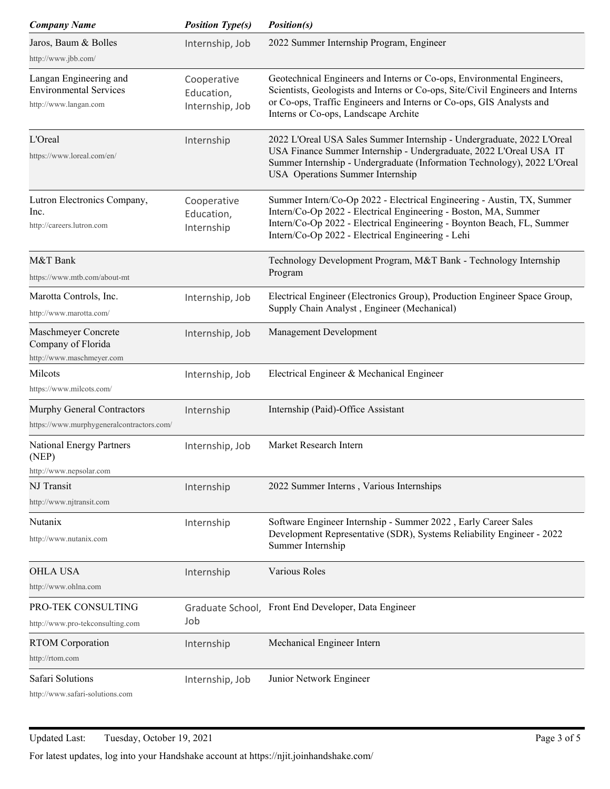| <b>Company Name</b>                                                              | <b>Position Type(s)</b>                      | <i>Position(s)</i>                                                                                                                                                                                                                                                       |
|----------------------------------------------------------------------------------|----------------------------------------------|--------------------------------------------------------------------------------------------------------------------------------------------------------------------------------------------------------------------------------------------------------------------------|
| Jaros, Baum & Bolles                                                             | Internship, Job                              | 2022 Summer Internship Program, Engineer                                                                                                                                                                                                                                 |
| http://www.jbb.com/                                                              |                                              |                                                                                                                                                                                                                                                                          |
| Langan Engineering and<br><b>Environmental Services</b><br>http://www.langan.com | Cooperative<br>Education,<br>Internship, Job | Geotechnical Engineers and Interns or Co-ops, Environmental Engineers,<br>Scientists, Geologists and Interns or Co-ops, Site/Civil Engineers and Interns<br>or Co-ops, Traffic Engineers and Interns or Co-ops, GIS Analysts and<br>Interns or Co-ops, Landscape Archite |
| L'Oreal<br>https://www.loreal.com/en/                                            | Internship                                   | 2022 L'Oreal USA Sales Summer Internship - Undergraduate, 2022 L'Oreal<br>USA Finance Summer Internship - Undergraduate, 2022 L'Oreal USA IT<br>Summer Internship - Undergraduate (Information Technology), 2022 L'Oreal<br>USA Operations Summer Internship             |
| Lutron Electronics Company,<br>lnc.<br>http://careers.lutron.com                 | Cooperative<br>Education,<br>Internship      | Summer Intern/Co-Op 2022 - Electrical Engineering - Austin, TX, Summer<br>Intern/Co-Op 2022 - Electrical Engineering - Boston, MA, Summer<br>Intern/Co-Op 2022 - Electrical Engineering - Boynton Beach, FL, Summer<br>Intern/Co-Op 2022 - Electrical Engineering - Lehi |
| M&T Bank<br>https://www.mtb.com/about-mt                                         |                                              | Technology Development Program, M&T Bank - Technology Internship<br>Program                                                                                                                                                                                              |
| Marotta Controls, Inc.<br>http://www.marotta.com/                                | Internship, Job                              | Electrical Engineer (Electronics Group), Production Engineer Space Group,<br>Supply Chain Analyst, Engineer (Mechanical)                                                                                                                                                 |
| Maschmeyer Concrete<br>Company of Florida<br>http://www.maschmeyer.com           | Internship, Job                              | Management Development                                                                                                                                                                                                                                                   |
| Milcots<br>https://www.milcots.com/                                              | Internship, Job                              | Electrical Engineer & Mechanical Engineer                                                                                                                                                                                                                                |
| Murphy General Contractors<br>https://www.murphygeneralcontractors.com/          | Internship                                   | Internship (Paid)-Office Assistant                                                                                                                                                                                                                                       |
| National Energy Partners<br>(NEP)<br>http://www.nepsolar.com                     | Internship, Job                              | Market Research Intern                                                                                                                                                                                                                                                   |
| NJ Transit<br>http://www.njtransit.com                                           | Internship                                   | 2022 Summer Interns, Various Internships                                                                                                                                                                                                                                 |
| Nutanix<br>http://www.nutanix.com                                                | Internship                                   | Software Engineer Internship - Summer 2022, Early Career Sales<br>Development Representative (SDR), Systems Reliability Engineer - 2022<br>Summer Internship                                                                                                             |
| <b>OHLA USA</b><br>http://www.ohlna.com                                          | Internship                                   | Various Roles                                                                                                                                                                                                                                                            |
| PRO-TEK CONSULTING<br>http://www.pro-tekconsulting.com                           | Job                                          | Graduate School, Front End Developer, Data Engineer                                                                                                                                                                                                                      |
| <b>RTOM</b> Corporation<br>http://rtom.com                                       | Internship                                   | Mechanical Engineer Intern                                                                                                                                                                                                                                               |
| Safari Solutions<br>http://www.cafari-solutions.com                              | Internship, Job                              | Junior Network Engineer                                                                                                                                                                                                                                                  |

afari-solutions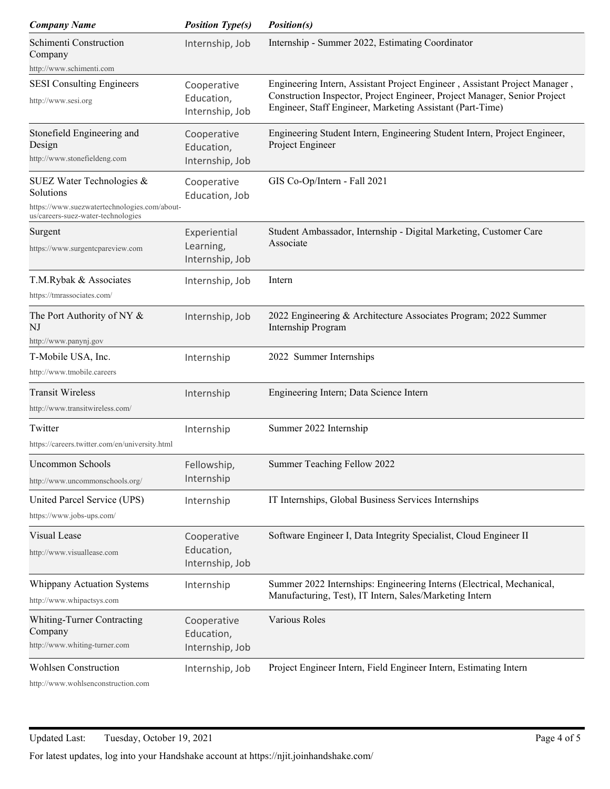| <b>Company Name</b>                                                                                                          | <b>Position Type(s)</b>                      | <i>Position(s)</i>                                                                                                                                                                                                   |
|------------------------------------------------------------------------------------------------------------------------------|----------------------------------------------|----------------------------------------------------------------------------------------------------------------------------------------------------------------------------------------------------------------------|
| Schimenti Construction<br>Company<br>http://www.schimenti.com                                                                | Internship, Job                              | Internship - Summer 2022, Estimating Coordinator                                                                                                                                                                     |
| <b>SESI</b> Consulting Engineers                                                                                             | Cooperative                                  | Engineering Intern, Assistant Project Engineer, Assistant Project Manager,<br>Construction Inspector, Project Engineer, Project Manager, Senior Project<br>Engineer, Staff Engineer, Marketing Assistant (Part-Time) |
| http://www.sesi.org                                                                                                          | Education,<br>Internship, Job                |                                                                                                                                                                                                                      |
| Stonefield Engineering and<br>Design<br>http://www.stonefieldeng.com                                                         | Cooperative<br>Education,<br>Internship, Job | Engineering Student Intern, Engineering Student Intern, Project Engineer,<br>Project Engineer                                                                                                                        |
| SUEZ Water Technologies &<br>Solutions<br>https://www.suezwatertechnologies.com/about-<br>us/careers-suez-water-technologies | Cooperative<br>Education, Job                | GIS Co-Op/Intern - Fall 2021                                                                                                                                                                                         |
| Surgent<br>https://www.surgentcpareview.com                                                                                  | Experiential<br>Learning,<br>Internship, Job | Student Ambassador, Internship - Digital Marketing, Customer Care<br>Associate                                                                                                                                       |
| T.M.Rybak & Associates<br>https://tmrassociates.com/                                                                         | Internship, Job                              | Intern                                                                                                                                                                                                               |
| The Port Authority of NY &<br>NJ<br>http://www.panynj.gov                                                                    | Internship, Job                              | 2022 Engineering & Architecture Associates Program; 2022 Summer<br>Internship Program                                                                                                                                |
| T-Mobile USA, Inc.<br>http://www.tmobile.careers                                                                             | Internship                                   | 2022 Summer Internships                                                                                                                                                                                              |
| <b>Transit Wireless</b><br>http://www.transitwireless.com/                                                                   | Internship                                   | Engineering Intern; Data Science Intern                                                                                                                                                                              |
| Twitter<br>https://careers.twitter.com/en/university.html                                                                    | Internship                                   | Summer 2022 Internship                                                                                                                                                                                               |
| Uncommon Schools<br>http://www.uncommonschools.org/                                                                          | Fellowship,<br>Internship                    | Summer Teaching Fellow 2022                                                                                                                                                                                          |
| United Parcel Service (UPS)<br>https://www.jobs-ups.com/                                                                     | Internship                                   | IT Internships, Global Business Services Internships                                                                                                                                                                 |
| Visual Lease<br>http://www.visuallease.com                                                                                   | Cooperative<br>Education,<br>Internship, Job | Software Engineer I, Data Integrity Specialist, Cloud Engineer II                                                                                                                                                    |
| Whippany Actuation Systems<br>http://www.whipactsys.com                                                                      | Internship                                   | Summer 2022 Internships: Engineering Interns (Electrical, Mechanical,<br>Manufacturing, Test), IT Intern, Sales/Marketing Intern                                                                                     |
| Whiting-Turner Contracting<br>Company<br>http://www.whiting-turner.com                                                       | Cooperative<br>Education,<br>Internship, Job | Various Roles                                                                                                                                                                                                        |
| <b>Wohlsen Construction</b><br>http://www.wohlsenconstruction.com                                                            | Internship, Job                              | Project Engineer Intern, Field Engineer Intern, Estimating Intern                                                                                                                                                    |